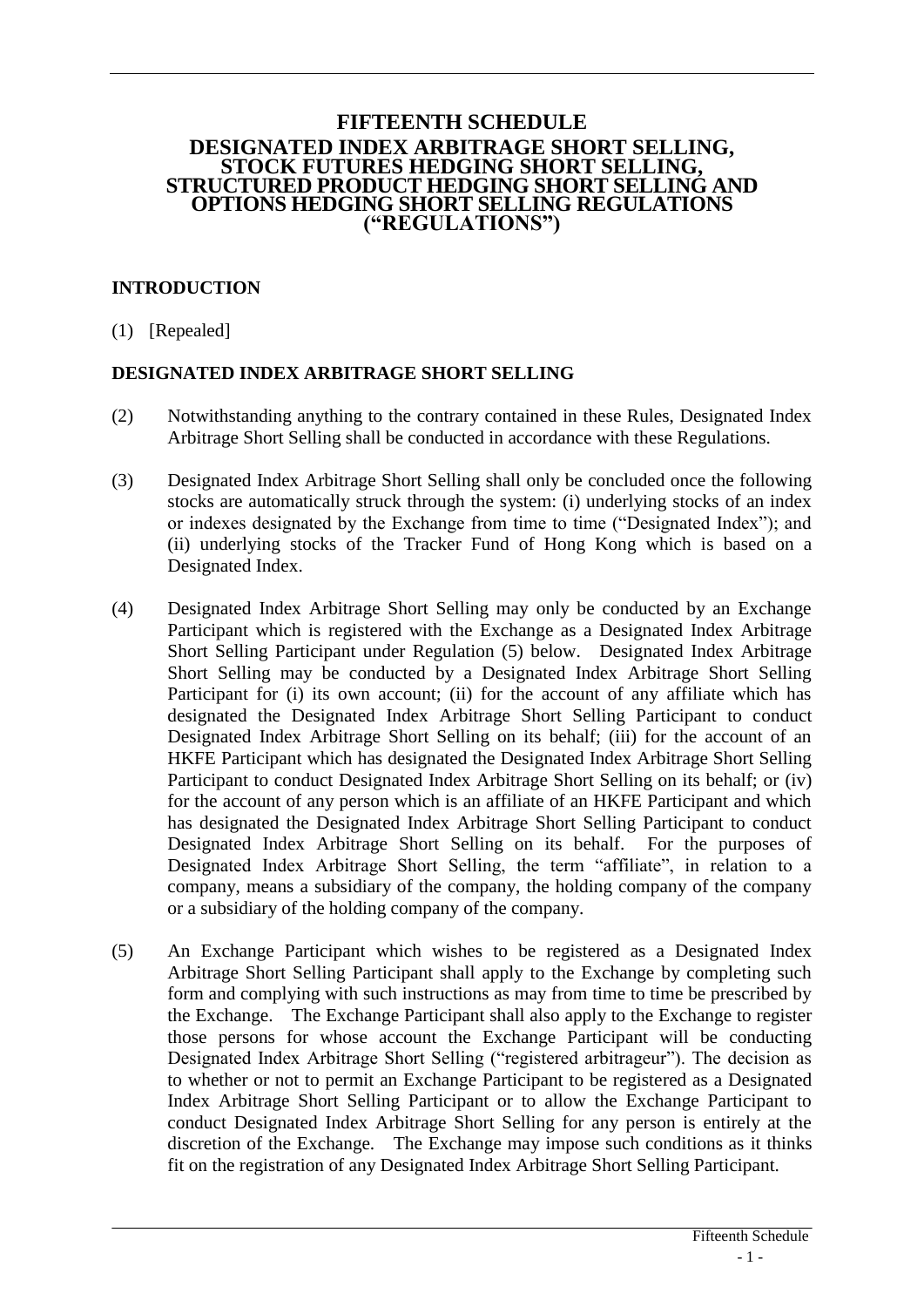#### **FIFTEENTH SCHEDULE DESIGNATED INDEX ARBITRAGE SHORT SELLING, STOCK FUTURES HEDGING SHORT SELLING, STRUCTURED PRODUCT HEDGING SHORT SELLING AND OPTIONS HEDGING SHORT SELLING REGULATIONS ("REGULATIONS")**

# **INTRODUCTION**

(1) [Repealed]

### **DESIGNATED INDEX ARBITRAGE SHORT SELLING**

- (2) Notwithstanding anything to the contrary contained in these Rules, Designated Index Arbitrage Short Selling shall be conducted in accordance with these Regulations.
- (3) Designated Index Arbitrage Short Selling shall only be concluded once the following stocks are automatically struck through the system: (i) underlying stocks of an index or indexes designated by the Exchange from time to time ("Designated Index"); and (ii) underlying stocks of the Tracker Fund of Hong Kong which is based on a Designated Index.
- (4) Designated Index Arbitrage Short Selling may only be conducted by an Exchange Participant which is registered with the Exchange as a Designated Index Arbitrage Short Selling Participant under Regulation (5) below. Designated Index Arbitrage Short Selling may be conducted by a Designated Index Arbitrage Short Selling Participant for (i) its own account; (ii) for the account of any affiliate which has designated the Designated Index Arbitrage Short Selling Participant to conduct Designated Index Arbitrage Short Selling on its behalf; (iii) for the account of an HKFE Participant which has designated the Designated Index Arbitrage Short Selling Participant to conduct Designated Index Arbitrage Short Selling on its behalf; or (iv) for the account of any person which is an affiliate of an HKFE Participant and which has designated the Designated Index Arbitrage Short Selling Participant to conduct Designated Index Arbitrage Short Selling on its behalf. For the purposes of Designated Index Arbitrage Short Selling, the term "affiliate", in relation to a company, means a subsidiary of the company, the holding company of the company or a subsidiary of the holding company of the company.
- (5) An Exchange Participant which wishes to be registered as a Designated Index Arbitrage Short Selling Participant shall apply to the Exchange by completing such form and complying with such instructions as may from time to time be prescribed by the Exchange. The Exchange Participant shall also apply to the Exchange to register those persons for whose account the Exchange Participant will be conducting Designated Index Arbitrage Short Selling ("registered arbitrageur"). The decision as to whether or not to permit an Exchange Participant to be registered as a Designated Index Arbitrage Short Selling Participant or to allow the Exchange Participant to conduct Designated Index Arbitrage Short Selling for any person is entirely at the discretion of the Exchange. The Exchange may impose such conditions as it thinks fit on the registration of any Designated Index Arbitrage Short Selling Participant.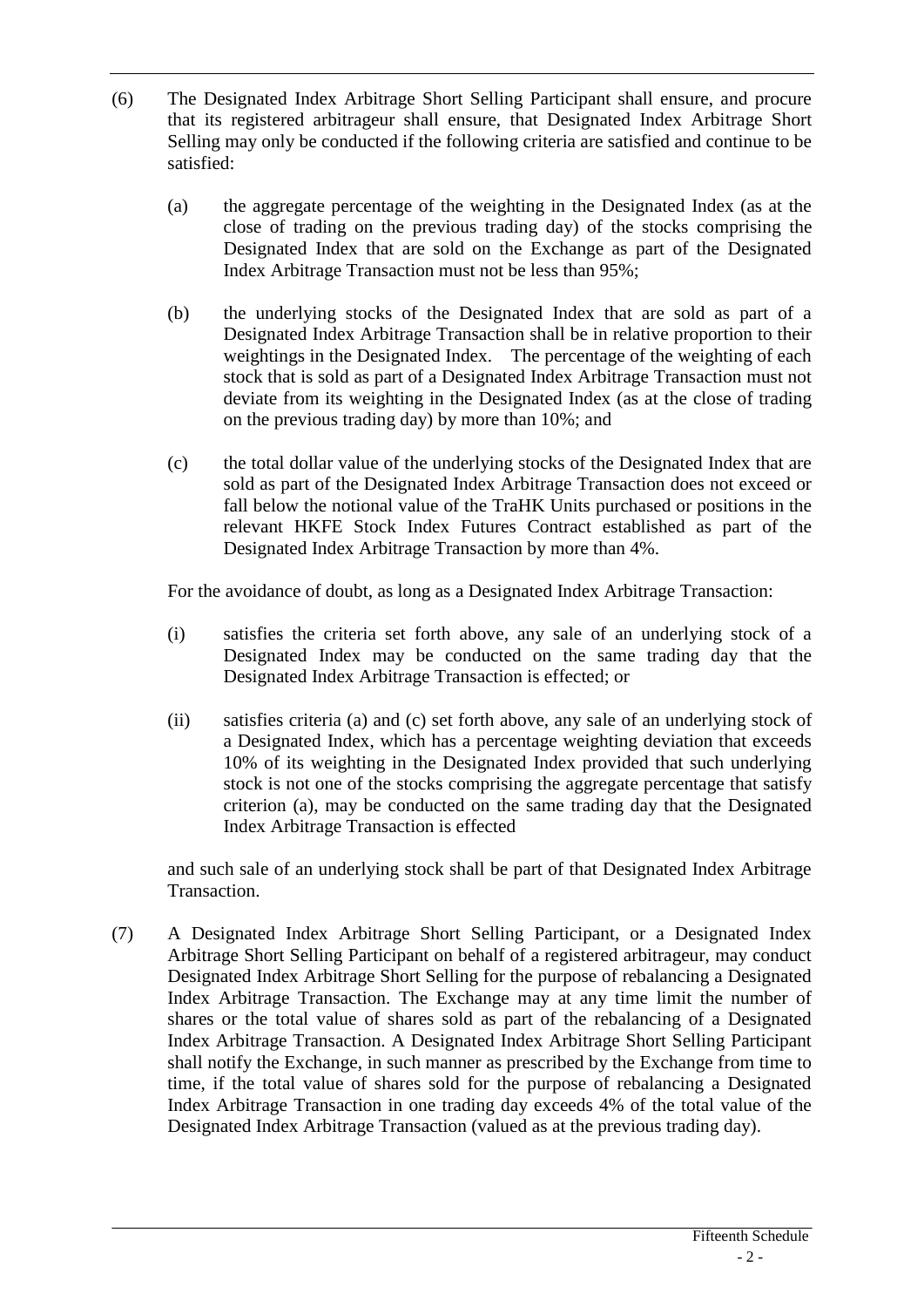- (6) The Designated Index Arbitrage Short Selling Participant shall ensure, and procure that its registered arbitrageur shall ensure, that Designated Index Arbitrage Short Selling may only be conducted if the following criteria are satisfied and continue to be satisfied:
	- (a) the aggregate percentage of the weighting in the Designated Index (as at the close of trading on the previous trading day) of the stocks comprising the Designated Index that are sold on the Exchange as part of the Designated Index Arbitrage Transaction must not be less than 95%;
	- (b) the underlying stocks of the Designated Index that are sold as part of a Designated Index Arbitrage Transaction shall be in relative proportion to their weightings in the Designated Index. The percentage of the weighting of each stock that is sold as part of a Designated Index Arbitrage Transaction must not deviate from its weighting in the Designated Index (as at the close of trading on the previous trading day) by more than 10%; and
	- (c) the total dollar value of the underlying stocks of the Designated Index that are sold as part of the Designated Index Arbitrage Transaction does not exceed or fall below the notional value of the TraHK Units purchased or positions in the relevant HKFE Stock Index Futures Contract established as part of the Designated Index Arbitrage Transaction by more than 4%.

For the avoidance of doubt, as long as a Designated Index Arbitrage Transaction:

- (i) satisfies the criteria set forth above, any sale of an underlying stock of a Designated Index may be conducted on the same trading day that the Designated Index Arbitrage Transaction is effected; or
- (ii) satisfies criteria (a) and (c) set forth above, any sale of an underlying stock of a Designated Index, which has a percentage weighting deviation that exceeds 10% of its weighting in the Designated Index provided that such underlying stock is not one of the stocks comprising the aggregate percentage that satisfy criterion (a), may be conducted on the same trading day that the Designated Index Arbitrage Transaction is effected

and such sale of an underlying stock shall be part of that Designated Index Arbitrage Transaction.

(7) A Designated Index Arbitrage Short Selling Participant, or a Designated Index Arbitrage Short Selling Participant on behalf of a registered arbitrageur, may conduct Designated Index Arbitrage Short Selling for the purpose of rebalancing a Designated Index Arbitrage Transaction. The Exchange may at any time limit the number of shares or the total value of shares sold as part of the rebalancing of a Designated Index Arbitrage Transaction. A Designated Index Arbitrage Short Selling Participant shall notify the Exchange, in such manner as prescribed by the Exchange from time to time, if the total value of shares sold for the purpose of rebalancing a Designated Index Arbitrage Transaction in one trading day exceeds 4% of the total value of the Designated Index Arbitrage Transaction (valued as at the previous trading day).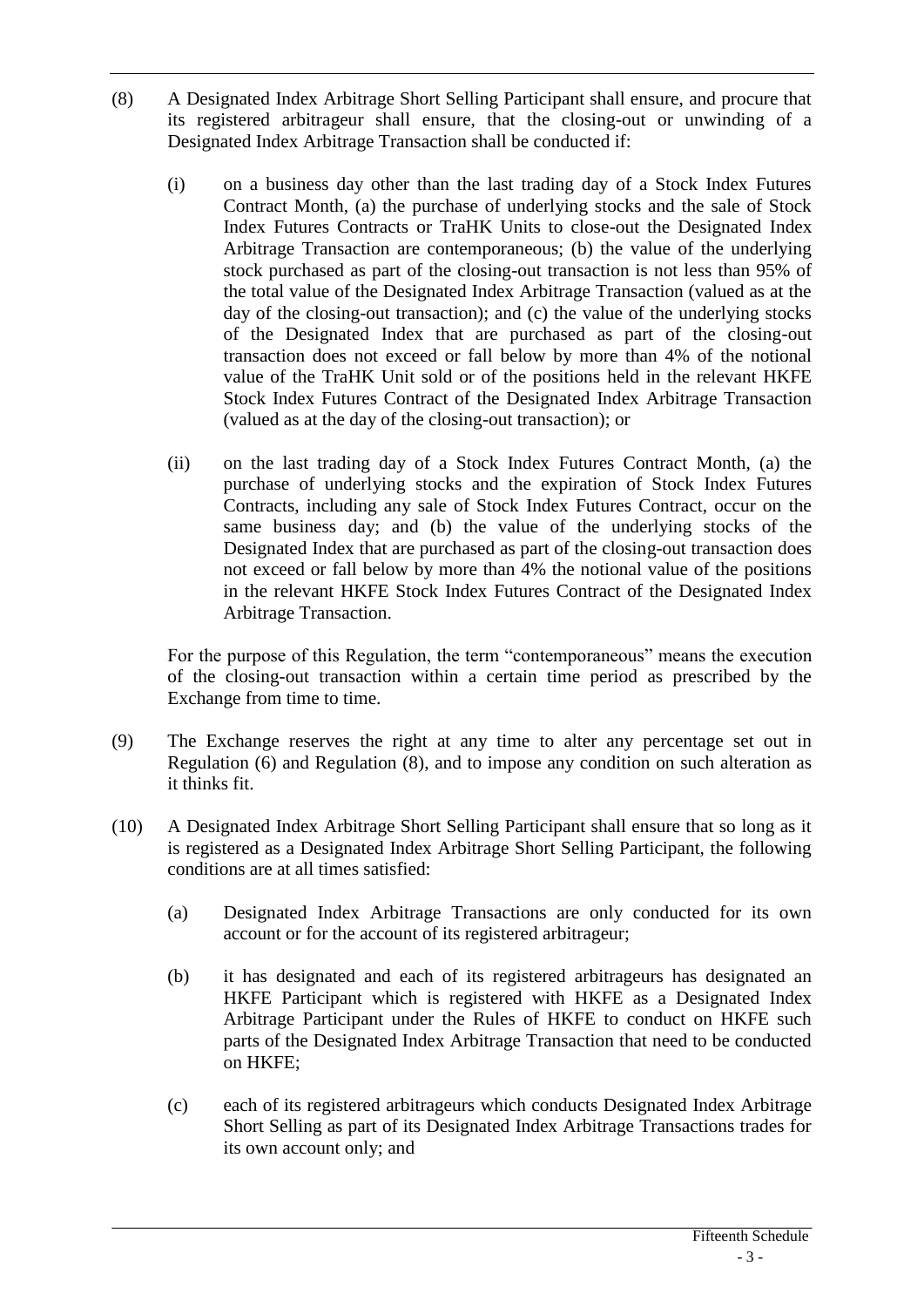- (8) A Designated Index Arbitrage Short Selling Participant shall ensure, and procure that its registered arbitrageur shall ensure, that the closing-out or unwinding of a Designated Index Arbitrage Transaction shall be conducted if:
	- (i) on a business day other than the last trading day of a Stock Index Futures Contract Month, (a) the purchase of underlying stocks and the sale of Stock Index Futures Contracts or TraHK Units to close-out the Designated Index Arbitrage Transaction are contemporaneous; (b) the value of the underlying stock purchased as part of the closing-out transaction is not less than 95% of the total value of the Designated Index Arbitrage Transaction (valued as at the day of the closing-out transaction); and (c) the value of the underlying stocks of the Designated Index that are purchased as part of the closing-out transaction does not exceed or fall below by more than 4% of the notional value of the TraHK Unit sold or of the positions held in the relevant HKFE Stock Index Futures Contract of the Designated Index Arbitrage Transaction (valued as at the day of the closing-out transaction); or
	- (ii) on the last trading day of a Stock Index Futures Contract Month, (a) the purchase of underlying stocks and the expiration of Stock Index Futures Contracts, including any sale of Stock Index Futures Contract, occur on the same business day; and (b) the value of the underlying stocks of the Designated Index that are purchased as part of the closing-out transaction does not exceed or fall below by more than 4% the notional value of the positions in the relevant HKFE Stock Index Futures Contract of the Designated Index Arbitrage Transaction.

For the purpose of this Regulation, the term "contemporaneous" means the execution of the closing-out transaction within a certain time period as prescribed by the Exchange from time to time.

- (9) The Exchange reserves the right at any time to alter any percentage set out in Regulation (6) and Regulation (8), and to impose any condition on such alteration as it thinks fit.
- (10) A Designated Index Arbitrage Short Selling Participant shall ensure that so long as it is registered as a Designated Index Arbitrage Short Selling Participant, the following conditions are at all times satisfied:
	- (a) Designated Index Arbitrage Transactions are only conducted for its own account or for the account of its registered arbitrageur;
	- (b) it has designated and each of its registered arbitrageurs has designated an HKFE Participant which is registered with HKFE as a Designated Index Arbitrage Participant under the Rules of HKFE to conduct on HKFE such parts of the Designated Index Arbitrage Transaction that need to be conducted on HKFE;
	- (c) each of its registered arbitrageurs which conducts Designated Index Arbitrage Short Selling as part of its Designated Index Arbitrage Transactions trades for its own account only; and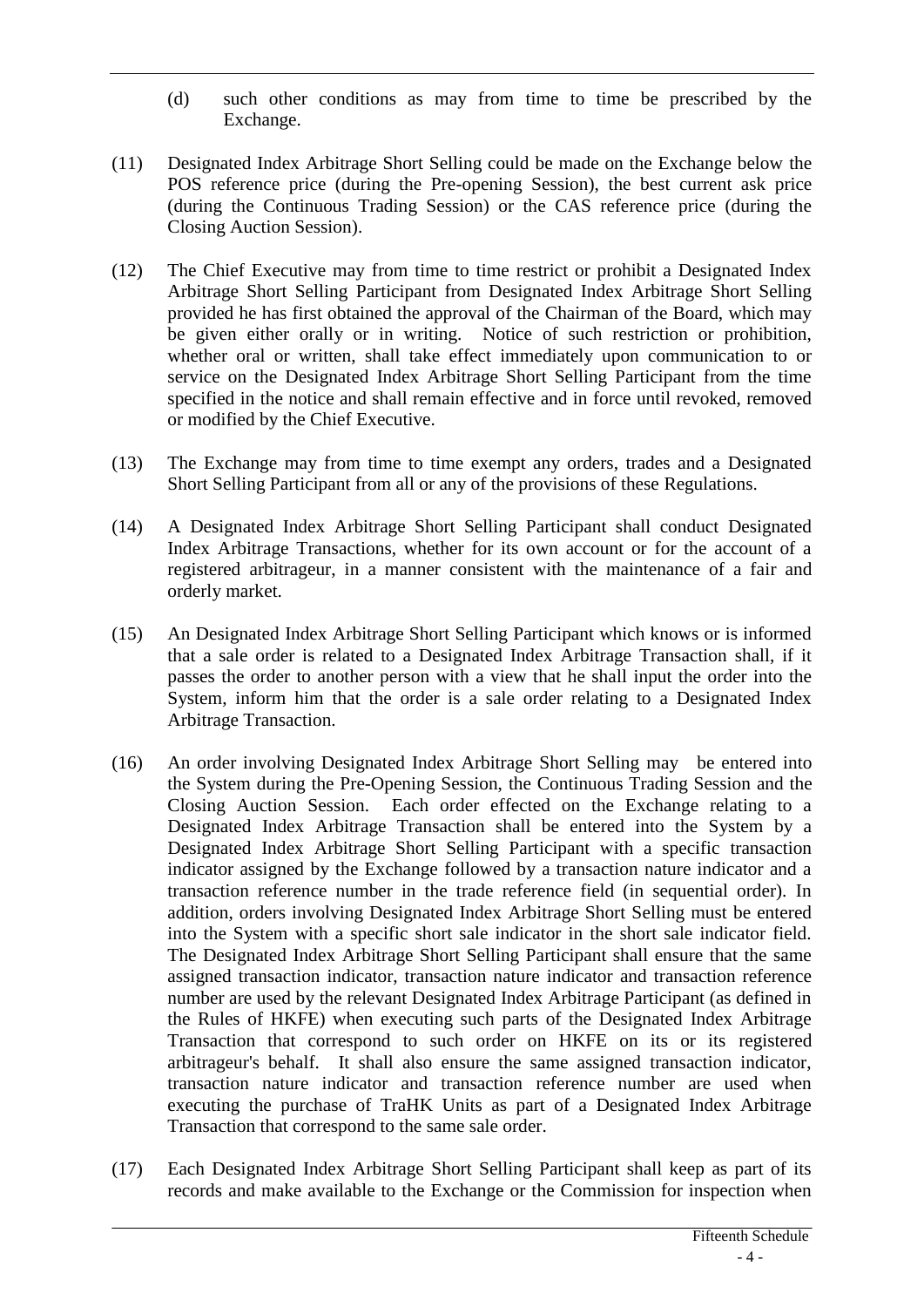- (d) such other conditions as may from time to time be prescribed by the Exchange.
- (11) Designated Index Arbitrage Short Selling could be made on the Exchange below the POS reference price (during the Pre-opening Session), the best current ask price (during the Continuous Trading Session) or the CAS reference price (during the Closing Auction Session).
- (12) The Chief Executive may from time to time restrict or prohibit a Designated Index Arbitrage Short Selling Participant from Designated Index Arbitrage Short Selling provided he has first obtained the approval of the Chairman of the Board, which may be given either orally or in writing. Notice of such restriction or prohibition, whether oral or written, shall take effect immediately upon communication to or service on the Designated Index Arbitrage Short Selling Participant from the time specified in the notice and shall remain effective and in force until revoked, removed or modified by the Chief Executive.
- (13) The Exchange may from time to time exempt any orders, trades and a Designated Short Selling Participant from all or any of the provisions of these Regulations.
- (14) A Designated Index Arbitrage Short Selling Participant shall conduct Designated Index Arbitrage Transactions, whether for its own account or for the account of a registered arbitrageur, in a manner consistent with the maintenance of a fair and orderly market.
- (15) An Designated Index Arbitrage Short Selling Participant which knows or is informed that a sale order is related to a Designated Index Arbitrage Transaction shall, if it passes the order to another person with a view that he shall input the order into the System, inform him that the order is a sale order relating to a Designated Index Arbitrage Transaction.
- (16) An order involving Designated Index Arbitrage Short Selling may be entered into the System during the Pre-Opening Session, the Continuous Trading Session and the Closing Auction Session. Each order effected on the Exchange relating to a Designated Index Arbitrage Transaction shall be entered into the System by a Designated Index Arbitrage Short Selling Participant with a specific transaction indicator assigned by the Exchange followed by a transaction nature indicator and a transaction reference number in the trade reference field (in sequential order). In addition, orders involving Designated Index Arbitrage Short Selling must be entered into the System with a specific short sale indicator in the short sale indicator field. The Designated Index Arbitrage Short Selling Participant shall ensure that the same assigned transaction indicator, transaction nature indicator and transaction reference number are used by the relevant Designated Index Arbitrage Participant (as defined in the Rules of HKFE) when executing such parts of the Designated Index Arbitrage Transaction that correspond to such order on HKFE on its or its registered arbitrageur's behalf. It shall also ensure the same assigned transaction indicator, transaction nature indicator and transaction reference number are used when executing the purchase of TraHK Units as part of a Designated Index Arbitrage Transaction that correspond to the same sale order.
- (17) Each Designated Index Arbitrage Short Selling Participant shall keep as part of its records and make available to the Exchange or the Commission for inspection when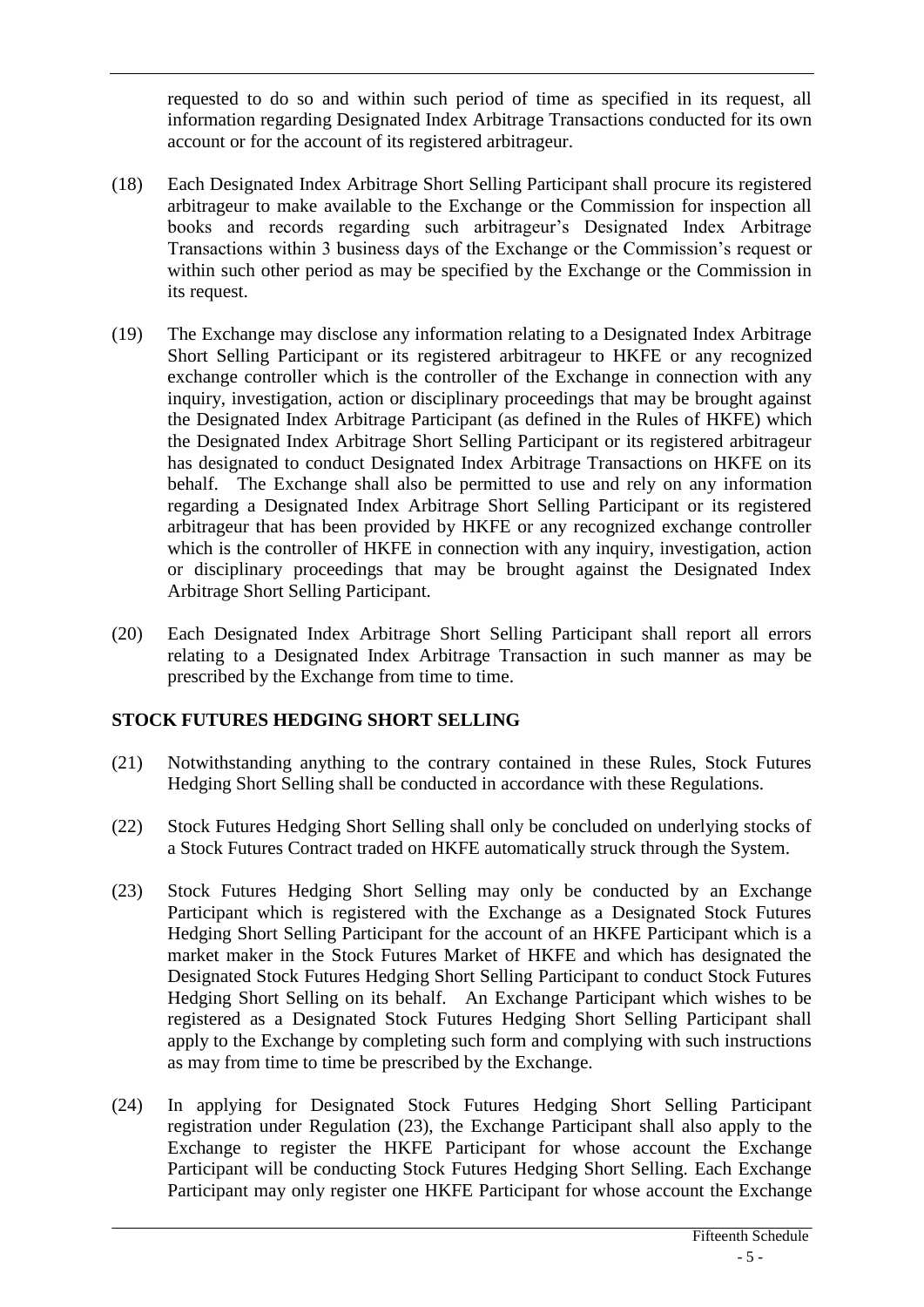requested to do so and within such period of time as specified in its request, all information regarding Designated Index Arbitrage Transactions conducted for its own account or for the account of its registered arbitrageur.

- (18) Each Designated Index Arbitrage Short Selling Participant shall procure its registered arbitrageur to make available to the Exchange or the Commission for inspection all books and records regarding such arbitrageur's Designated Index Arbitrage Transactions within 3 business days of the Exchange or the Commission's request or within such other period as may be specified by the Exchange or the Commission in its request.
- (19) The Exchange may disclose any information relating to a Designated Index Arbitrage Short Selling Participant or its registered arbitrageur to HKFE or any recognized exchange controller which is the controller of the Exchange in connection with any inquiry, investigation, action or disciplinary proceedings that may be brought against the Designated Index Arbitrage Participant (as defined in the Rules of HKFE) which the Designated Index Arbitrage Short Selling Participant or its registered arbitrageur has designated to conduct Designated Index Arbitrage Transactions on HKFE on its behalf. The Exchange shall also be permitted to use and rely on any information regarding a Designated Index Arbitrage Short Selling Participant or its registered arbitrageur that has been provided by HKFE or any recognized exchange controller which is the controller of HKFE in connection with any inquiry, investigation, action or disciplinary proceedings that may be brought against the Designated Index Arbitrage Short Selling Participant.
- (20) Each Designated Index Arbitrage Short Selling Participant shall report all errors relating to a Designated Index Arbitrage Transaction in such manner as may be prescribed by the Exchange from time to time.

# **STOCK FUTURES HEDGING SHORT SELLING**

- (21) Notwithstanding anything to the contrary contained in these Rules, Stock Futures Hedging Short Selling shall be conducted in accordance with these Regulations.
- (22) Stock Futures Hedging Short Selling shall only be concluded on underlying stocks of a Stock Futures Contract traded on HKFE automatically struck through the System.
- (23) Stock Futures Hedging Short Selling may only be conducted by an Exchange Participant which is registered with the Exchange as a Designated Stock Futures Hedging Short Selling Participant for the account of an HKFE Participant which is a market maker in the Stock Futures Market of HKFE and which has designated the Designated Stock Futures Hedging Short Selling Participant to conduct Stock Futures Hedging Short Selling on its behalf. An Exchange Participant which wishes to be registered as a Designated Stock Futures Hedging Short Selling Participant shall apply to the Exchange by completing such form and complying with such instructions as may from time to time be prescribed by the Exchange.
- (24) In applying for Designated Stock Futures Hedging Short Selling Participant registration under Regulation (23), the Exchange Participant shall also apply to the Exchange to register the HKFE Participant for whose account the Exchange Participant will be conducting Stock Futures Hedging Short Selling. Each Exchange Participant may only register one HKFE Participant for whose account the Exchange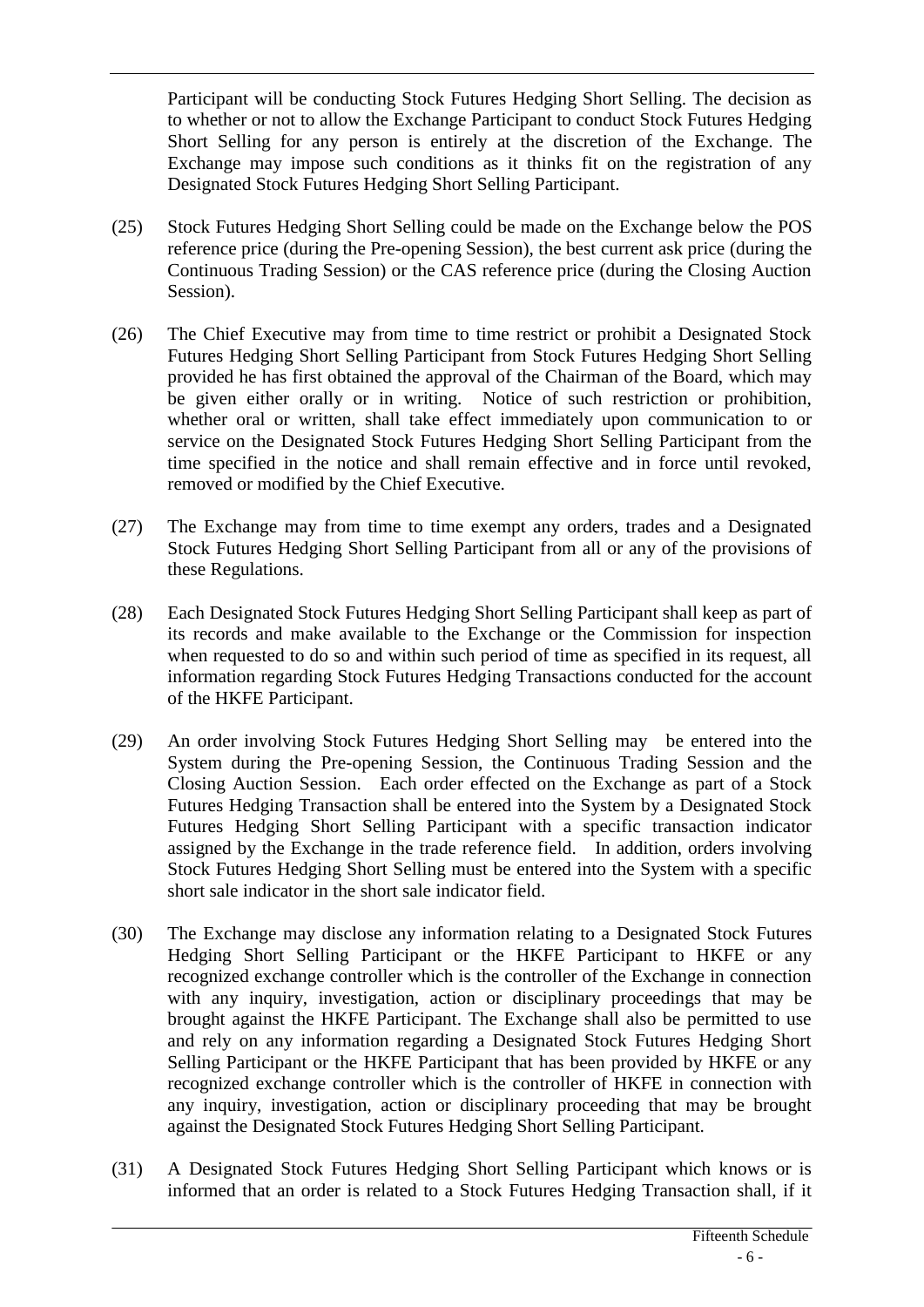Participant will be conducting Stock Futures Hedging Short Selling. The decision as to whether or not to allow the Exchange Participant to conduct Stock Futures Hedging Short Selling for any person is entirely at the discretion of the Exchange. The Exchange may impose such conditions as it thinks fit on the registration of any Designated Stock Futures Hedging Short Selling Participant.

- (25) Stock Futures Hedging Short Selling could be made on the Exchange below the POS reference price (during the Pre-opening Session), the best current ask price (during the Continuous Trading Session) or the CAS reference price (during the Closing Auction Session).
- (26) The Chief Executive may from time to time restrict or prohibit a Designated Stock Futures Hedging Short Selling Participant from Stock Futures Hedging Short Selling provided he has first obtained the approval of the Chairman of the Board, which may be given either orally or in writing. Notice of such restriction or prohibition, whether oral or written, shall take effect immediately upon communication to or service on the Designated Stock Futures Hedging Short Selling Participant from the time specified in the notice and shall remain effective and in force until revoked, removed or modified by the Chief Executive.
- (27) The Exchange may from time to time exempt any orders, trades and a Designated Stock Futures Hedging Short Selling Participant from all or any of the provisions of these Regulations.
- (28) Each Designated Stock Futures Hedging Short Selling Participant shall keep as part of its records and make available to the Exchange or the Commission for inspection when requested to do so and within such period of time as specified in its request, all information regarding Stock Futures Hedging Transactions conducted for the account of the HKFE Participant.
- (29) An order involving Stock Futures Hedging Short Selling may be entered into the System during the Pre-opening Session, the Continuous Trading Session and the Closing Auction Session. Each order effected on the Exchange as part of a Stock Futures Hedging Transaction shall be entered into the System by a Designated Stock Futures Hedging Short Selling Participant with a specific transaction indicator assigned by the Exchange in the trade reference field. In addition, orders involving Stock Futures Hedging Short Selling must be entered into the System with a specific short sale indicator in the short sale indicator field.
- (30) The Exchange may disclose any information relating to a Designated Stock Futures Hedging Short Selling Participant or the HKFE Participant to HKFE or any recognized exchange controller which is the controller of the Exchange in connection with any inquiry, investigation, action or disciplinary proceedings that may be brought against the HKFE Participant. The Exchange shall also be permitted to use and rely on any information regarding a Designated Stock Futures Hedging Short Selling Participant or the HKFE Participant that has been provided by HKFE or any recognized exchange controller which is the controller of HKFE in connection with any inquiry, investigation, action or disciplinary proceeding that may be brought against the Designated Stock Futures Hedging Short Selling Participant.
- (31) A Designated Stock Futures Hedging Short Selling Participant which knows or is informed that an order is related to a Stock Futures Hedging Transaction shall, if it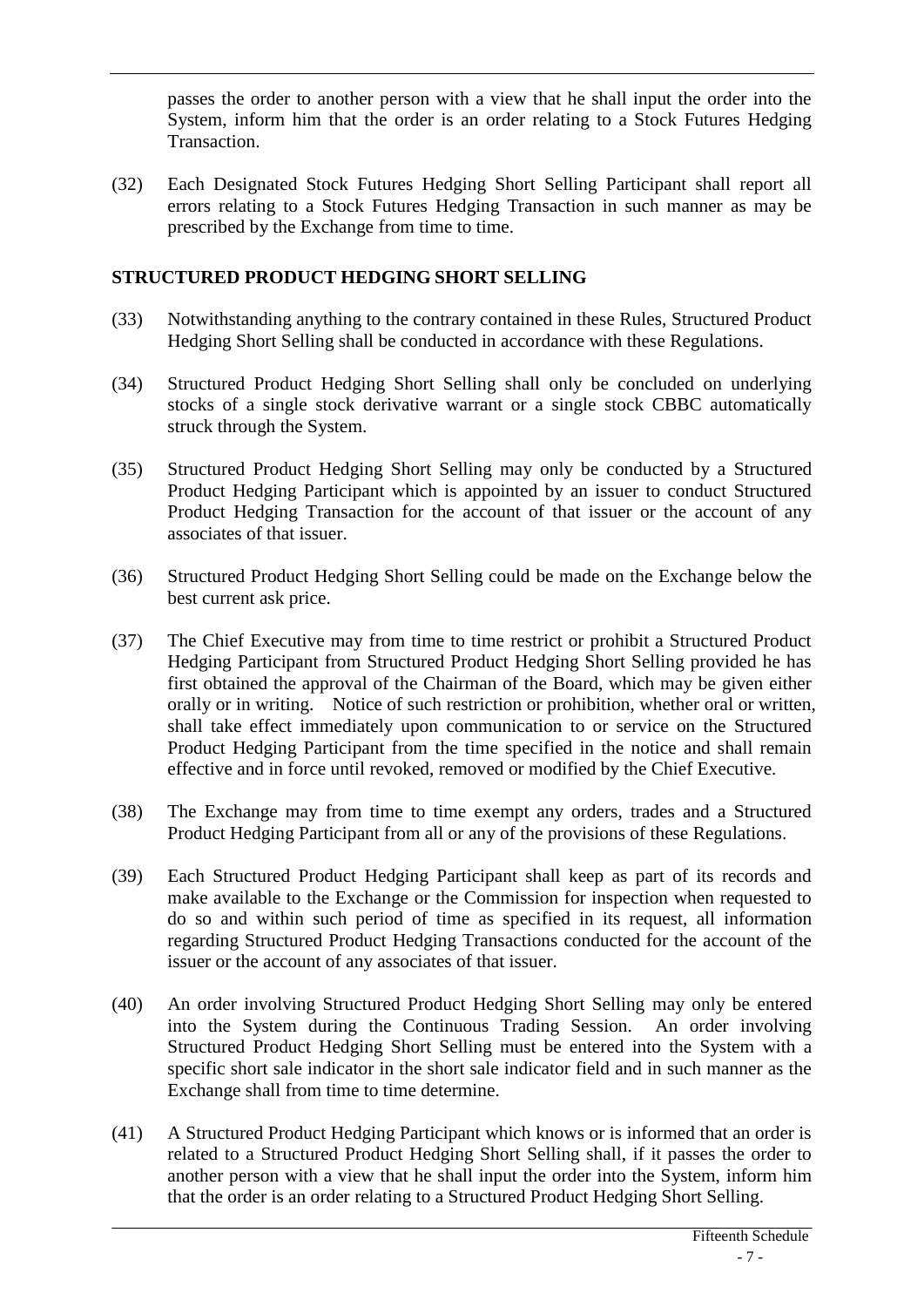passes the order to another person with a view that he shall input the order into the System, inform him that the order is an order relating to a Stock Futures Hedging Transaction.

(32) Each Designated Stock Futures Hedging Short Selling Participant shall report all errors relating to a Stock Futures Hedging Transaction in such manner as may be prescribed by the Exchange from time to time.

# **STRUCTURED PRODUCT HEDGING SHORT SELLING**

- (33) Notwithstanding anything to the contrary contained in these Rules, Structured Product Hedging Short Selling shall be conducted in accordance with these Regulations.
- (34) Structured Product Hedging Short Selling shall only be concluded on underlying stocks of a single stock derivative warrant or a single stock CBBC automatically struck through the System.
- (35) Structured Product Hedging Short Selling may only be conducted by a Structured Product Hedging Participant which is appointed by an issuer to conduct Structured Product Hedging Transaction for the account of that issuer or the account of any associates of that issuer.
- (36) Structured Product Hedging Short Selling could be made on the Exchange below the best current ask price.
- (37) The Chief Executive may from time to time restrict or prohibit a Structured Product Hedging Participant from Structured Product Hedging Short Selling provided he has first obtained the approval of the Chairman of the Board, which may be given either orally or in writing. Notice of such restriction or prohibition, whether oral or written, shall take effect immediately upon communication to or service on the Structured Product Hedging Participant from the time specified in the notice and shall remain effective and in force until revoked, removed or modified by the Chief Executive.
- (38) The Exchange may from time to time exempt any orders, trades and a Structured Product Hedging Participant from all or any of the provisions of these Regulations.
- (39) Each Structured Product Hedging Participant shall keep as part of its records and make available to the Exchange or the Commission for inspection when requested to do so and within such period of time as specified in its request, all information regarding Structured Product Hedging Transactions conducted for the account of the issuer or the account of any associates of that issuer.
- (40) An order involving Structured Product Hedging Short Selling may only be entered into the System during the Continuous Trading Session. An order involving Structured Product Hedging Short Selling must be entered into the System with a specific short sale indicator in the short sale indicator field and in such manner as the Exchange shall from time to time determine.
- (41) A Structured Product Hedging Participant which knows or is informed that an order is related to a Structured Product Hedging Short Selling shall, if it passes the order to another person with a view that he shall input the order into the System, inform him that the order is an order relating to a Structured Product Hedging Short Selling.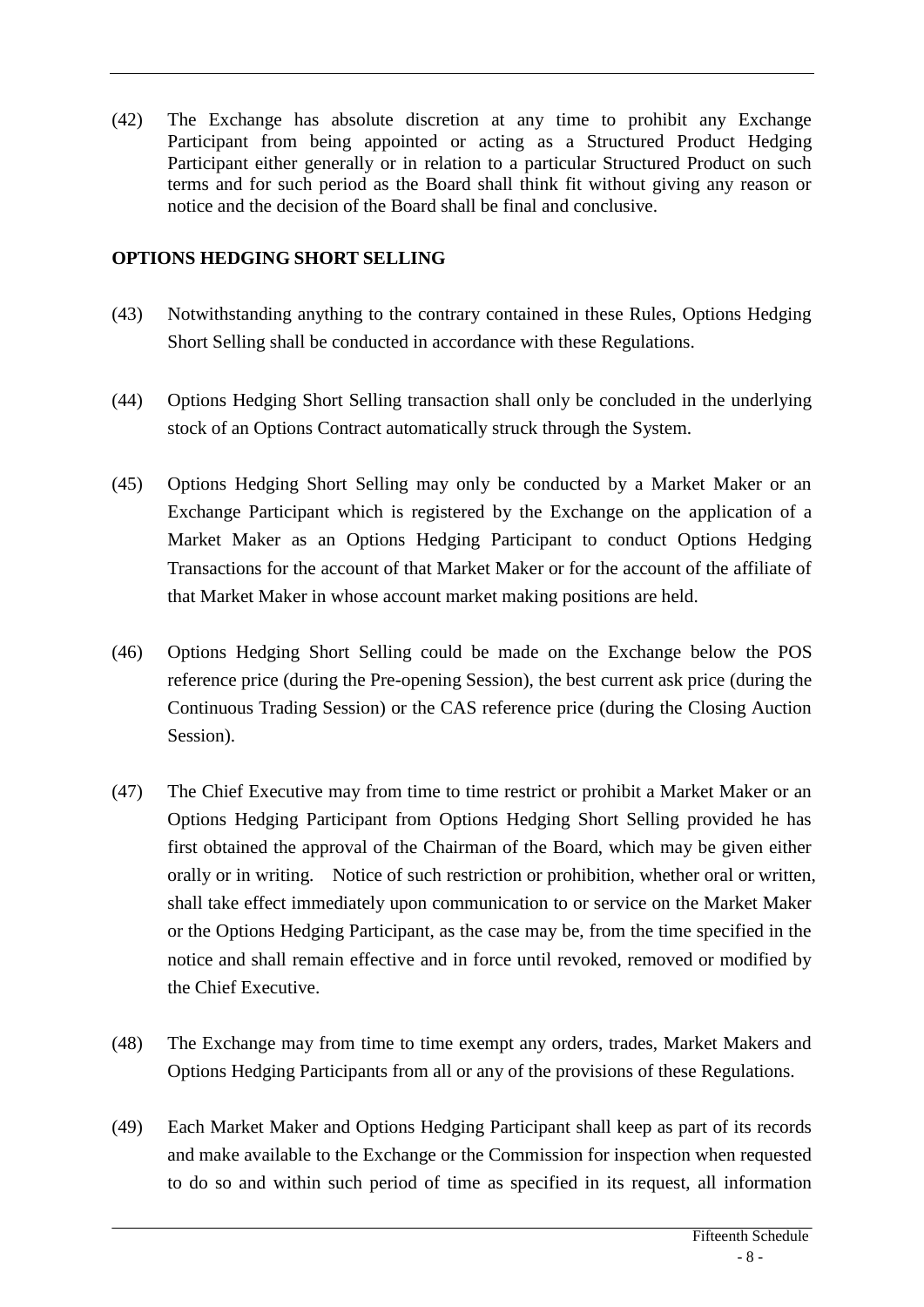(42) The Exchange has absolute discretion at any time to prohibit any Exchange Participant from being appointed or acting as a Structured Product Hedging Participant either generally or in relation to a particular Structured Product on such terms and for such period as the Board shall think fit without giving any reason or notice and the decision of the Board shall be final and conclusive.

# **OPTIONS HEDGING SHORT SELLING**

- (43) Notwithstanding anything to the contrary contained in these Rules, Options Hedging Short Selling shall be conducted in accordance with these Regulations.
- (44) Options Hedging Short Selling transaction shall only be concluded in the underlying stock of an Options Contract automatically struck through the System.
- (45) Options Hedging Short Selling may only be conducted by a Market Maker or an Exchange Participant which is registered by the Exchange on the application of a Market Maker as an Options Hedging Participant to conduct Options Hedging Transactions for the account of that Market Maker or for the account of the affiliate of that Market Maker in whose account market making positions are held.
- (46) Options Hedging Short Selling could be made on the Exchange below the POS reference price (during the Pre-opening Session), the best current ask price (during the Continuous Trading Session) or the CAS reference price (during the Closing Auction Session).
- (47) The Chief Executive may from time to time restrict or prohibit a Market Maker or an Options Hedging Participant from Options Hedging Short Selling provided he has first obtained the approval of the Chairman of the Board, which may be given either orally or in writing. Notice of such restriction or prohibition, whether oral or written, shall take effect immediately upon communication to or service on the Market Maker or the Options Hedging Participant, as the case may be, from the time specified in the notice and shall remain effective and in force until revoked, removed or modified by the Chief Executive.
- (48) The Exchange may from time to time exempt any orders, trades, Market Makers and Options Hedging Participants from all or any of the provisions of these Regulations.
- (49) Each Market Maker and Options Hedging Participant shall keep as part of its records and make available to the Exchange or the Commission for inspection when requested to do so and within such period of time as specified in its request, all information